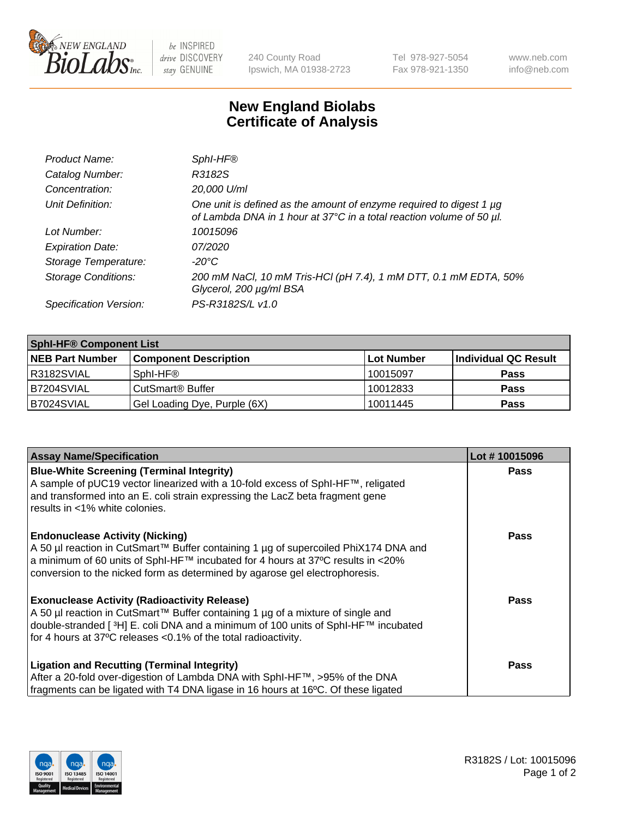

be INSPIRED drive DISCOVERY stay GENUINE

240 County Road Ipswich, MA 01938-2723 Tel 978-927-5054 Fax 978-921-1350 www.neb.com info@neb.com

## **New England Biolabs Certificate of Analysis**

| Product Name:              | Sphl-HF®                                                                                                                                    |
|----------------------------|---------------------------------------------------------------------------------------------------------------------------------------------|
| Catalog Number:            | R3182S                                                                                                                                      |
| Concentration:             | 20,000 U/ml                                                                                                                                 |
| Unit Definition:           | One unit is defined as the amount of enzyme required to digest 1 µg<br>of Lambda DNA in 1 hour at 37°C in a total reaction volume of 50 µl. |
| Lot Number:                | 10015096                                                                                                                                    |
| <b>Expiration Date:</b>    | 07/2020                                                                                                                                     |
| Storage Temperature:       | -20°C                                                                                                                                       |
| <b>Storage Conditions:</b> | 200 mM NaCl, 10 mM Tris-HCl (pH 7.4), 1 mM DTT, 0.1 mM EDTA, 50%<br>Glycerol, 200 µg/ml BSA                                                 |
| Specification Version:     | PS-R3182S/L v1.0                                                                                                                            |

| <b>Sphl-HF® Component List</b> |                              |            |                      |  |  |
|--------------------------------|------------------------------|------------|----------------------|--|--|
| <b>NEB Part Number</b>         | <b>Component Description</b> | Lot Number | Individual QC Result |  |  |
| R3182SVIAL                     | Sphl-HF®                     | 10015097   | <b>Pass</b>          |  |  |
| IB7204SVIAL                    | CutSmart <sup>®</sup> Buffer | 10012833   | <b>Pass</b>          |  |  |
| B7024SVIAL                     | Gel Loading Dye, Purple (6X) | 10011445   | <b>Pass</b>          |  |  |

| <b>Assay Name/Specification</b>                                                                                                                                | Lot #10015096 |
|----------------------------------------------------------------------------------------------------------------------------------------------------------------|---------------|
| <b>Blue-White Screening (Terminal Integrity)</b><br>A sample of pUC19 vector linearized with a 10-fold excess of SphI-HF™, religated                           | <b>Pass</b>   |
| and transformed into an E. coli strain expressing the LacZ beta fragment gene<br>results in <1% white colonies.                                                |               |
| <b>Endonuclease Activity (Nicking)</b>                                                                                                                         | <b>Pass</b>   |
| A 50 µl reaction in CutSmart™ Buffer containing 1 µg of supercoiled PhiX174 DNA and                                                                            |               |
| a minimum of 60 units of SphI-HF™ incubated for 4 hours at 37°C results in <20%<br>conversion to the nicked form as determined by agarose gel electrophoresis. |               |
| <b>Exonuclease Activity (Radioactivity Release)</b>                                                                                                            | Pass          |
| A 50 µl reaction in CutSmart™ Buffer containing 1 µg of a mixture of single and                                                                                |               |
| double-stranded [ <sup>3</sup> H] E. coli DNA and a minimum of 100 units of Sphl-HF™ incubated                                                                 |               |
| for 4 hours at 37°C releases < 0.1% of the total radioactivity.                                                                                                |               |
| <b>Ligation and Recutting (Terminal Integrity)</b>                                                                                                             | <b>Pass</b>   |
| After a 20-fold over-digestion of Lambda DNA with SphI-HF™, >95% of the DNA                                                                                    |               |
| fragments can be ligated with T4 DNA ligase in 16 hours at 16°C. Of these ligated                                                                              |               |